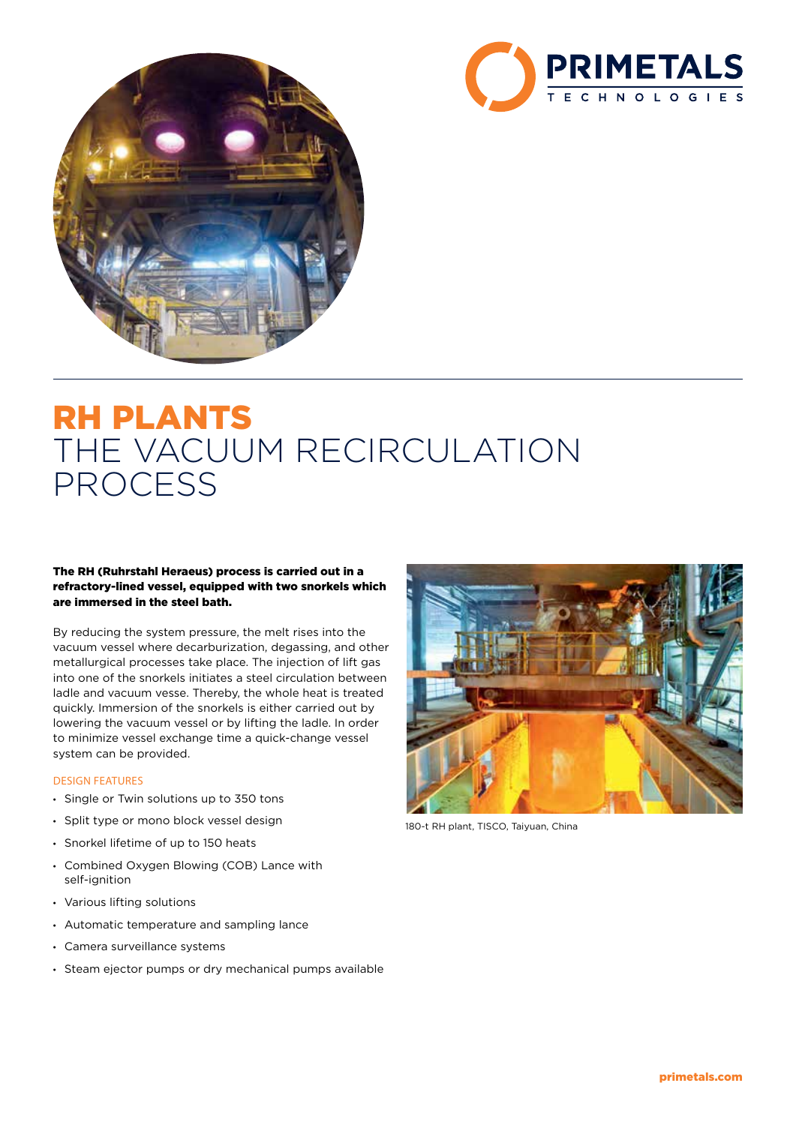



# RH PLANTS THE VACUUM RECIRCULATION PROCESS

## The RH (Ruhrstahl Heraeus) process is carried out in a refractory-lined vessel, equipped with two snorkels which are immersed in the steel bath.

By reducing the system pressure, the melt rises into the vacuum vessel where decarburization, degassing, and other metallurgical processes take place. The injection of lift gas into one of the snorkels initiates a steel circulation between ladle and vacuum vesse. Thereby, the whole heat is treated quickly. Immersion of the snorkels is either carried out by lowering the vacuum vessel or by lifting the ladle. In order to minimize vessel exchange time a quick-change vessel system can be provided.

#### DESIGN FEATURES

- Single or Twin solutions up to 350 tons
- Split type or mono block vessel design
- Snorkel lifetime of up to 150 heats
- Combined Oxygen Blowing (COB) Lance with self-ignition
- Various lifting solutions
- Automatic temperature and sampling lance
- Camera surveillance systems
- Steam ejector pumps or dry mechanical pumps available



180-t RH plant, TISCO, Taiyuan, China